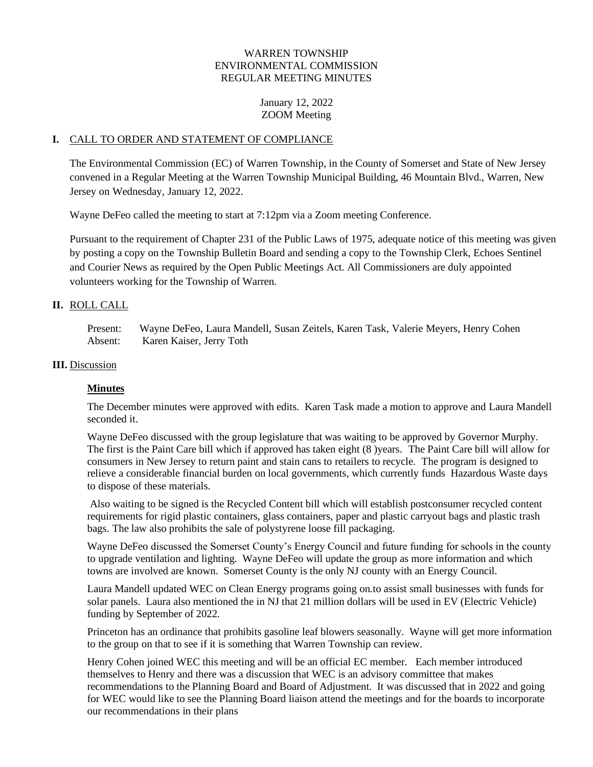## WARREN TOWNSHIP ENVIRONMENTAL COMMISSION REGULAR MEETING MINUTES

January 12, 2022 ZOOM Meeting

#### **I.** CALL TO ORDER AND STATEMENT OF COMPLIANCE

The Environmental Commission (EC) of Warren Township, in the County of Somerset and State of New Jersey convened in a Regular Meeting at the Warren Township Municipal Building, 46 Mountain Blvd., Warren, New Jersey on Wednesday, January 12, 2022.

Wayne DeFeo called the meeting to start at 7:12pm via a Zoom meeting Conference.

Pursuant to the requirement of Chapter 231 of the Public Laws of 1975, adequate notice of this meeting was given by posting a copy on the Township Bulletin Board and sending a copy to the Township Clerk, Echoes Sentinel and Courier News as required by the Open Public Meetings Act. All Commissioners are duly appointed volunteers working for the Township of Warren.

#### **II.** ROLL CALL

Present: Wayne DeFeo, Laura Mandell, Susan Zeitels, Karen Task, Valerie Meyers, Henry Cohen Absent: Karen Kaiser, Jerry Toth

#### **III.** Discussion

### **Minutes**

The December minutes were approved with edits. Karen Task made a motion to approve and Laura Mandell seconded it.

Wayne DeFeo discussed with the group legislature that was waiting to be approved by Governor Murphy. The first is the Paint Care bill which if approved has taken eight (8 )years. The Paint Care bill will allow for consumers in New Jersey to return paint and stain cans to retailers to recycle. The program is designed to relieve a considerable financial burden on local governments, which currently funds Hazardous Waste days to dispose of these materials.

Also waiting to be signed is the Recycled Content bill which will establish postconsumer recycled content requirements for rigid plastic containers, glass containers, paper and plastic carryout bags and plastic trash bags. The law also prohibits the sale of polystyrene loose fill packaging.

Wayne DeFeo discussed the Somerset County's Energy Council and future funding for schools in the county to upgrade ventilation and lighting. Wayne DeFeo will update the group as more information and which towns are involved are known. Somerset County is the only NJ county with an Energy Council.

Laura Mandell updated WEC on Clean Energy programs going on.to assist small businesses with funds for solar panels. Laura also mentioned the in NJ that 21 million dollars will be used in EV (Electric Vehicle) funding by September of 2022.

Princeton has an ordinance that prohibits gasoline leaf blowers seasonally. Wayne will get more information to the group on that to see if it is something that Warren Township can review.

Henry Cohen joined WEC this meeting and will be an official EC member. Each member introduced themselves to Henry and there was a discussion that WEC is an advisory committee that makes recommendations to the Planning Board and Board of Adjustment. It was discussed that in 2022 and going for WEC would like to see the Planning Board liaison attend the meetings and for the boards to incorporate our recommendations in their plans